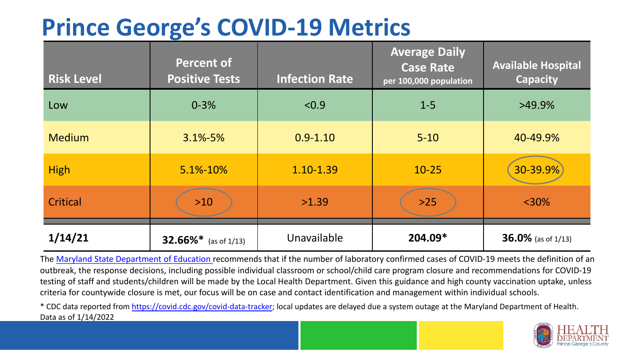## **Prince George's COVID-19 Metrics**

| <b>Risk Level</b> | <b>Percent of</b><br><b>Positive Tests</b> | <b>Infection Rate</b> | <b>Average Daily</b><br><b>Case Rate</b><br>per 100,000 population | <b>Available Hospital</b><br><b>Capacity</b> |
|-------------------|--------------------------------------------|-----------------------|--------------------------------------------------------------------|----------------------------------------------|
| Low               | $0 - 3%$                                   | < 0.9                 | $1 - 5$                                                            | $>49.9\%$                                    |
| <b>Medium</b>     | $3.1\% - 5\%$                              | $0.9 - 1.10$          | $5 - 10$                                                           | 40-49.9%                                     |
| <b>High</b>       | 5.1%-10%                                   | 1.10-1.39             | $10 - 25$                                                          | 30-39.9%                                     |
| Critical          | $>10$                                      | >1.39                 | $>25$                                                              | $<$ 30%                                      |
| 1/14/21           | <b>32.66%*</b> (as of $1/13$ )             | Unavailable           | 204.09*                                                            | $36.0\%$ (as of 1/13)                        |

The [Maryland State Department of Education](https://earlychildhood.marylandpublicschools.org/system/files/filedepot/3/covid_guidance_full_080420.pdf) recommends that if the number of laboratory confirmed cases of COVID-19 meets the definition of an outbreak, the response decisions, including possible individual classroom or school/child care program closure and recommendations for COVID-19 testing of staff and students/children will be made by the Local Health Department. Given this guidance and high county vaccination uptake, unless criteria for countywide closure is met, our focus will be on case and contact identification and management within individual schools.

\* CDC data reported from <https://covid.cdc.gov/covid-data-tracker>; local updates are delayed due a system outage at the Maryland Department of Health. Data as of 1/14/2022

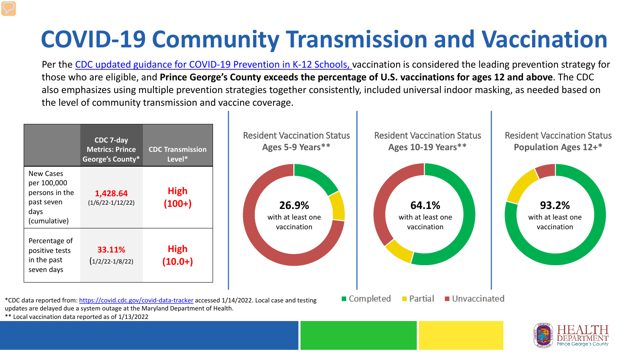## **COVID-19 Community Transmission and Vaccination**

Per the [CDC updated guidance for COVID-19 Prevention in K-12 Schools,](https://www.cdc.gov/coronavirus/2019-ncov/community/schools-childcare/k-12-guidance.html) vaccination is considered the leading prevention strategy for those who are eligible, and **Prince George's County exceeds the percentage of U.S. vaccinations for ages 12 and above**. The CDC also emphasizes using multiple prevention strategies together consistently, included universal indoor masking, as needed based on the level of community transmission and vaccine coverage.